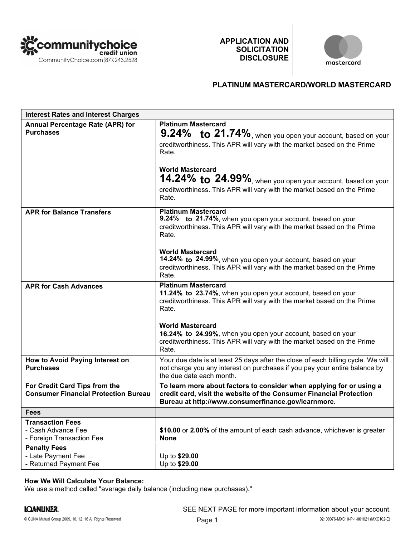

**APPLICATION AND SOLICITATION DISCLOSURE**



## **PLATINUM MASTERCARD/WORLD MASTERCARD**

| <b>Interest Rates and Interest Charges</b>                                   |                                                                                                                                                                                                                                                                                                                                                             |
|------------------------------------------------------------------------------|-------------------------------------------------------------------------------------------------------------------------------------------------------------------------------------------------------------------------------------------------------------------------------------------------------------------------------------------------------------|
| Annual Percentage Rate (APR) for<br><b>Purchases</b>                         | <b>Platinum Mastercard</b><br>9.24% to 21.74%, when you open your account, based on your<br>creditworthiness. This APR will vary with the market based on the Prime<br>Rate.<br><b>World Mastercard</b><br>14.24% to 24.99%, when you open your account, based on your<br>creditworthiness. This APR will vary with the market based on the Prime<br>Rate.  |
| <b>APR for Balance Transfers</b>                                             | <b>Platinum Mastercard</b><br>9.24% to 21.74%, when you open your account, based on your<br>creditworthiness. This APR will vary with the market based on the Prime<br>Rate.<br><b>World Mastercard</b><br>14.24% to 24.99%, when you open your account, based on your<br>creditworthiness. This APR will vary with the market based on the Prime<br>Rate.  |
| <b>APR for Cash Advances</b>                                                 | <b>Platinum Mastercard</b><br>11.24% to 23.74%, when you open your account, based on your<br>creditworthiness. This APR will vary with the market based on the Prime<br>Rate.<br><b>World Mastercard</b><br>16.24% to 24.99%, when you open your account, based on your<br>creditworthiness. This APR will vary with the market based on the Prime<br>Rate. |
| How to Avoid Paying Interest on<br><b>Purchases</b>                          | Your due date is at least 25 days after the close of each billing cycle. We will<br>not charge you any interest on purchases if you pay your entire balance by<br>the due date each month.                                                                                                                                                                  |
| For Credit Card Tips from the<br><b>Consumer Financial Protection Bureau</b> | To learn more about factors to consider when applying for or using a<br>credit card, visit the website of the Consumer Financial Protection<br>Bureau at http://www.consumerfinance.gov/learnmore.                                                                                                                                                          |
| <b>Fees</b>                                                                  |                                                                                                                                                                                                                                                                                                                                                             |
| <b>Transaction Fees</b><br>- Cash Advance Fee<br>- Foreign Transaction Fee   | \$10.00 or 2.00% of the amount of each cash advance, whichever is greater<br><b>None</b>                                                                                                                                                                                                                                                                    |
| <b>Penalty Fees</b><br>- Late Payment Fee<br>- Returned Payment Fee          | Up to \$29.00<br>Up to \$29.00                                                                                                                                                                                                                                                                                                                              |

## **How We Will Calculate Your Balance:**

We use a method called "average daily balance (including new purchases)."